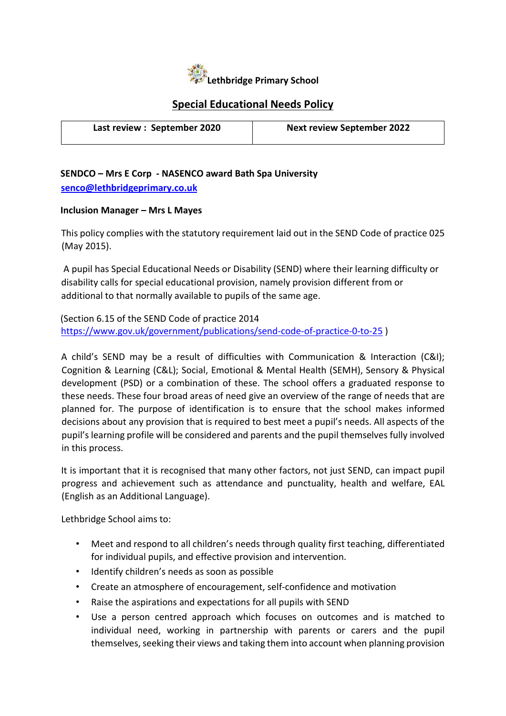

## Special Educational Needs Policy

| Last review : September 2020 | <b>Next review September 2022</b> |
|------------------------------|-----------------------------------|

#### SENDCO – Mrs E Corp ‐ NASENCO award Bath Spa University senco@lethbridgeprimary.co.uk

#### Inclusion Manager – Mrs L Mayes

This policy complies with the statutory requirement laid out in the SEND Code of practice 025 (May 2015).

A pupil has Special Educational Needs or Disability (SEND) where their learning difficulty or disability calls for special educational provision, namely provision different from or additional to that normally available to pupils of the same age.

(Section 6.15 of the SEND Code of practice 2014 https://www.gov.uk/government/publications/send-code-of-practice-0-to-25)

A child's SEND may be a result of difficulties with Communication & Interaction (C&I); Cognition & Learning (C&L); Social, Emotional & Mental Health (SEMH), Sensory & Physical development (PSD) or a combination of these. The school offers a graduated response to these needs. These four broad areas of need give an overview of the range of needs that are planned for. The purpose of identification is to ensure that the school makes informed decisions about any provision that is required to best meet a pupil's needs. All aspects of the pupil's learning profile will be considered and parents and the pupil themselves fully involved in this process.

It is important that it is recognised that many other factors, not just SEND, can impact pupil progress and achievement such as attendance and punctuality, health and welfare, EAL (English as an Additional Language).

Lethbridge School aims to:

- Meet and respond to all children's needs through quality first teaching, differentiated for individual pupils, and effective provision and intervention.
- Identify children's needs as soon as possible
- Create an atmosphere of encouragement, self-confidence and motivation
- Raise the aspirations and expectations for all pupils with SEND
- Use a person centred approach which focuses on outcomes and is matched to individual need, working in partnership with parents or carers and the pupil themselves, seeking their views and taking them into account when planning provision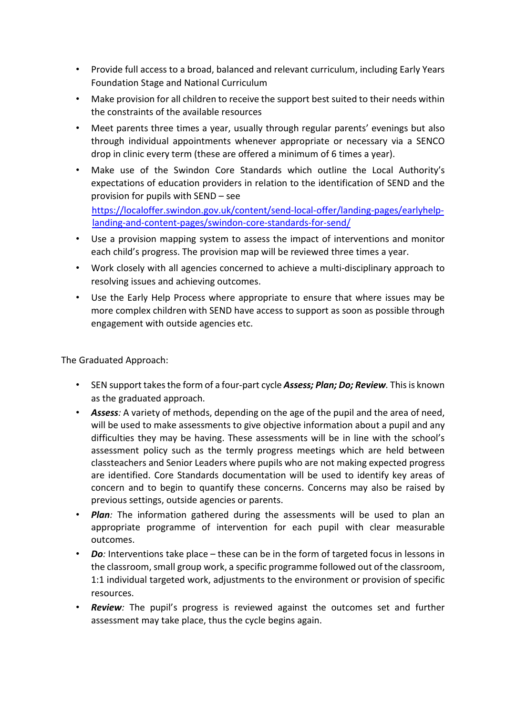- Provide full access to a broad, balanced and relevant curriculum, including Early Years Foundation Stage and National Curriculum
- Make provision for all children to receive the support best suited to their needs within the constraints of the available resources
- Meet parents three times a year, usually through regular parents' evenings but also through individual appointments whenever appropriate or necessary via a SENCO drop in clinic every term (these are offered a minimum of 6 times a year).
- Make use of the Swindon Core Standards which outline the Local Authority's expectations of education providers in relation to the identification of SEND and the provision for pupils with SEND – see https://localoffer.swindon.gov.uk/content/send-local-offer/landing-pages/earlyhelplanding‐and‐content‐pages/swindon‐core‐standards‐for‐send/
- Use a provision mapping system to assess the impact of interventions and monitor each child's progress. The provision map will be reviewed three times a year.
- Work closely with all agencies concerned to achieve a multi-disciplinary approach to resolving issues and achieving outcomes.
- Use the Early Help Process where appropriate to ensure that where issues may be more complex children with SEND have access to support as soon as possible through engagement with outside agencies etc.

The Graduated Approach:

- SEN support takes the form of a four-part cycle **Assess; Plan; Do; Review**. This is known as the graduated approach.
- Assess: A variety of methods, depending on the age of the pupil and the area of need, will be used to make assessments to give objective information about a pupil and any difficulties they may be having. These assessments will be in line with the school's assessment policy such as the termly progress meetings which are held between classteachers and Senior Leaders where pupils who are not making expected progress are identified. Core Standards documentation will be used to identify key areas of concern and to begin to quantify these concerns. Concerns may also be raised by previous settings, outside agencies or parents.
- Plan: The information gathered during the assessments will be used to plan an appropriate programme of intervention for each pupil with clear measurable outcomes.
- Do: Interventions take place these can be in the form of targeted focus in lessons in the classroom, small group work, a specific programme followed out of the classroom, 1:1 individual targeted work, adjustments to the environment or provision of specific resources.
- Review: The pupil's progress is reviewed against the outcomes set and further assessment may take place, thus the cycle begins again.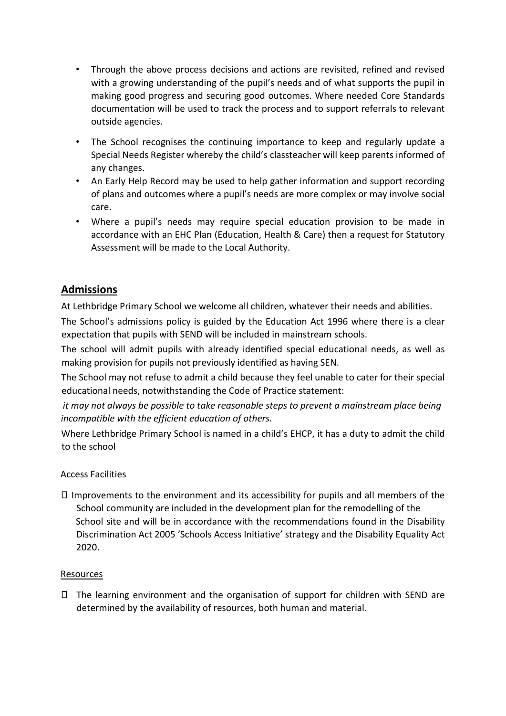- Through the above process decisions and actions are revisited, refined and revised with a growing understanding of the pupil's needs and of what supports the pupil in making good progress and securing good outcomes. Where needed Core Standards documentation will be used to track the process and to support referrals to relevant outside agencies.
- The School recognises the continuing importance to keep and regularly update a Special Needs Register whereby the child's classteacher will keep parents informed of any changes.
- An Early Help Record may be used to help gather information and support recording of plans and outcomes where a pupil's needs are more complex or may involve social care.
- Where a pupil's needs may require special education provision to be made in accordance with an EHC Plan (Education, Health & Care) then a request for Statutory Assessment will be made to the Local Authority.

# Admissions

At Lethbridge Primary School we welcome all children, whatever their needs and abilities.

The School's admissions policy is guided by the Education Act 1996 where there is a clear expectation that pupils with SEND will be included in mainstream schools.

The school will admit pupils with already identified special educational needs, as well as making provision for pupils not previously identified as having SEN.

The School may not refuse to admit a child because they feel unable to cater for their special educational needs, notwithstanding the Code of Practice statement:

it may not always be possible to take reasonable steps to prevent a mainstream place being incompatible with the efficient education of others.

Where Lethbridge Primary School is named in a child's EHCP, it has a duty to admit the child to the school

## Access Facilities

 $\Box$  Improvements to the environment and its accessibility for pupils and all members of the School community are included in the development plan for the remodelling of the School site and will be in accordance with the recommendations found in the Disability Discrimination Act 2005 'Schools Access Initiative' strategy and the Disability Equality Act 2020.

## Resources

 $\Box$  The learning environment and the organisation of support for children with SEND are determined by the availability of resources, both human and material.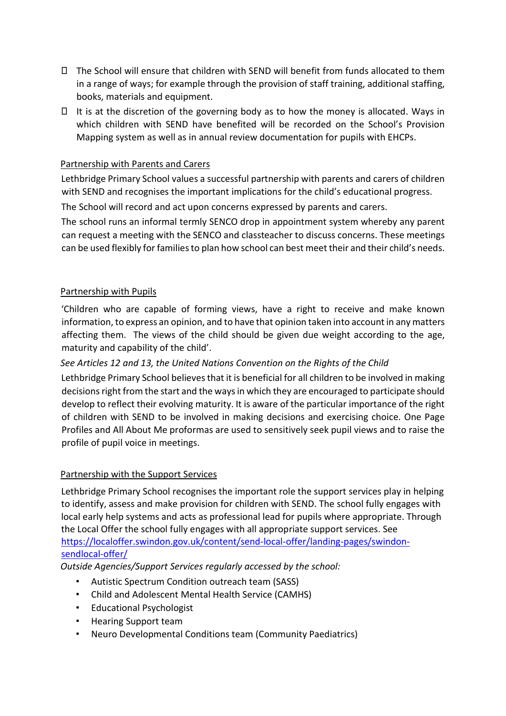- The School will ensure that children with SEND will benefit from funds allocated to them in a range of ways; for example through the provision of staff training, additional staffing, books, materials and equipment.
- $\Box$  It is at the discretion of the governing body as to how the money is allocated. Ways in which children with SEND have benefited will be recorded on the School's Provision Mapping system as well as in annual review documentation for pupils with EHCPs.

#### Partnership with Parents and Carers

Lethbridge Primary School values a successful partnership with parents and carers of children with SEND and recognises the important implications for the child's educational progress.

The School will record and act upon concerns expressed by parents and carers.

The school runs an informal termly SENCO drop in appointment system whereby any parent can request a meeting with the SENCO and classteacher to discuss concerns. These meetings can be used flexibly for families to plan how school can best meet their and their child's needs.

#### Partnership with Pupils

'Children who are capable of forming views, have a right to receive and make known information, to express an opinion, and to have that opinion taken into account in any matters affecting them. The views of the child should be given due weight according to the age, maturity and capability of the child'.

#### See Articles 12 and 13, the United Nations Convention on the Rights of the Child

Lethbridge Primary School believes that it is beneficial for all children to be involved in making decisions right from the start and the ways in which they are encouraged to participate should develop to reflect their evolving maturity. It is aware of the particular importance of the right of children with SEND to be involved in making decisions and exercising choice. One Page Profiles and All About Me proformas are used to sensitively seek pupil views and to raise the profile of pupil voice in meetings.

#### Partnership with the Support Services

Lethbridge Primary School recognises the important role the support services play in helping to identify, assess and make provision for children with SEND. The school fully engages with local early help systems and acts as professional lead for pupils where appropriate. Through the Local Offer the school fully engages with all appropriate support services. See https://localoffer.swindon.gov.uk/content/send‐local‐offer/landing‐pages/swindon‐ sendlocal‐offer/

Outside Agencies/Support Services regularly accessed by the school:

- Autistic Spectrum Condition outreach team (SASS)
- Child and Adolescent Mental Health Service (CAMHS)
- Educational Psychologist
- Hearing Support team
- Neuro Developmental Conditions team (Community Paediatrics)